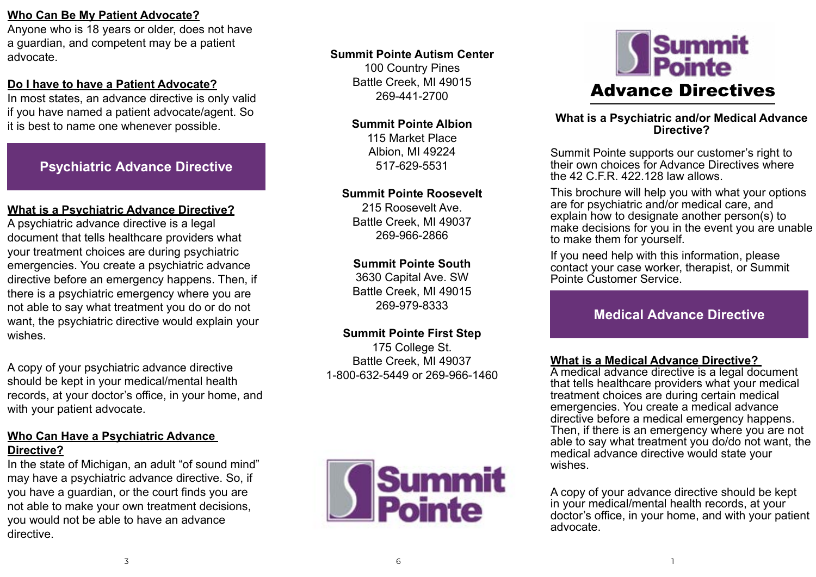## **Who Can Be My Patient Advocate?**

Anyone who is 18 years or older, does not have a guardian, and competent may be a patient advocate.

## **Do I have to have a Patient Advocate?**

In most states, an advance directive is only valid if you have named a patient advocate/agent. So it is best to name one whenever possible.

# **Psychiatric Advance Directive**

#### **What is a Psychiatric Advance Directive?**

A psychiatric advance directive is a legal document that tells healthcare providers what your treatment choices are during psychiatric emergencies. You create a psychiatric advance directive before an emergency happens. Then, if there is a psychiatric emergency where you are not able to say what treatment you do or do not want, the psychiatric directive would explain your wishes.

A copy of your psychiatric advance directive should be kept in your medical/mental health records, at your doctor's office, in your home, and with your patient advocate.

## **Who Can Have a Psychiatric Advance Directive?**

In the state of Michigan, an adult "of sound mind" may have a psychiatric advance directive. So, if you have a guardian, or the court finds you are not able to make your own treatment decisions, you would not be able to have an advance directive.

#### **Summit Pointe Autism Center**

100 Country Pines Battle Creek, MI 49015 269-441-2700

#### **Summit Pointe Albion**

115 Market Place Albion, MI 49224 517-629-5531

#### **Summit Pointe Roosevelt**

215 Roosevelt Ave. Battle Creek, MI 49037 269-966-2866

#### **Summit Pointe South**

3630 Capital Ave. SW Battle Creek, MI 49015 269-979-8333

#### **Summit Pointe First Step**

175 College St. Battle Creek, MI 49037 1-800-632-5449 or 269-966-1460





#### **What is a Psychiatric and/or Medical Advance Directive?**

Summit Pointe supports our customer's right to their own choices for Advance Directives where the  $42$  C.F.R.  $422$ .128 law allows.

This brochure will help you with what your options are for psychiatric and/or medical care, and explain how to designate another person(s) to make decisions for you in the event you are unable to make them for yourself.

If you need help with this information, please contact your case worker, therapist, or Summit Pointe Customer Service.

# **Medical Advance Directive**

#### **What is a Medical Advance Directive?**

A medical advance directive is a legal document that tells healthcare providers what your medical treatment choices are during certain medical emergencies. You create a medical advance directive before a medical emergency happens. Then, if there is an emergency where you are not able to say what treatment you do/do not want, the medical advance directive would state your wishes.

A copy of your advance directive should be kept in your medical/mental health records, at your doctor's office, in your home, and with your patient advocate.